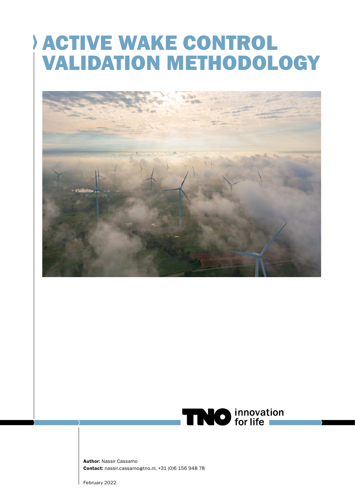# ACTIVE WAKE CONTROL VALIDATION METHODOLOGY





Author: Nassir Cassamo Contact: nassir.cassamo@tno.nl, +31 (0)6 156 948 78

February 2022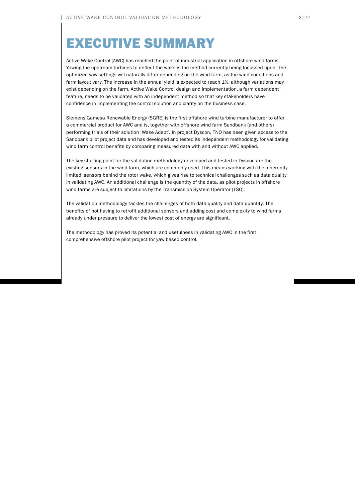# EXECUTIVE SUMMARY

Active Wake Control (AWC) has reached the point of industrial application in offshore wind farms. Yawing the upstream turbines to deflect the wake is the method currently being focussed upon. The optimized yaw settings will naturally differ depending on the wind farm, as the wind conditions and farm layout vary. The increase in the annual yield is expected to reach 1%, although variations may exist depending on the farm. Active Wake Control design and implementation, a farm dependent feature, needs to be validated with an independent method so that key stakeholders have confidence in implementing the control solution and clarity on the business case.

Siemens Gamesa Renewable Energy (SGRE) is the first offshore wind turbine manufacturer to offer a commercial product for AWC and is, together with offshore wind farm Sandbank (and others) performing trials of their solution 'Wake Adapt'. In project Dyscon, TNO has been given access to the Sandbank pilot project data and has developed and tested its independent methodology for validating wind farm control benefits by comparing measured data with and without AWC applied.

The key starting point for the validation methodology developed and tested in Dyscon are the existing sensors in the wind farm, which are commonly used. This means working with the inherently limited sensors behind the rotor wake, which gives rise to technical challenges such as data quality in validating AWC. An additional challenge is the quantity of the data, as pilot projects in offshore wind farms are subject to limitations by the Transmission System Operator (TSO).

The validation methodology tackles the challenges of both data quality and data quantity. The benefits of not having to retrofit additional sensors and adding cost and complexity to wind farms already under pressure to deliver the lowest cost of energy are significant.

The methodology has proved its potential and usefulness in validating AWC in the first comprehensive offshore pilot project for yaw based control.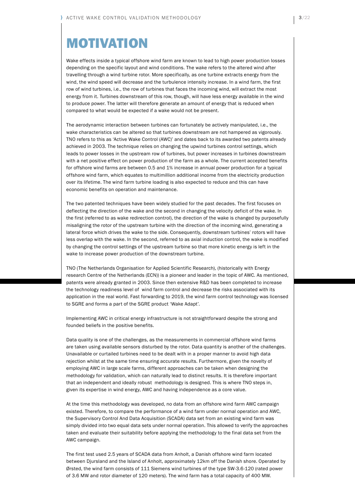### MOTIVATION

Wake effects inside a typical offshore wind farm are known to lead to high power production losses depending on the specific layout and wind conditions. The wake refers to the altered wind after travelling through a wind turbine rotor. More specifically, as one turbine extracts energy from the wind, the wind speed will decrease and the turbulence intensity increase. In a wind farm, the first row of wind turbines, i.e., the row of turbines that faces the incoming wind, will extract the most energy from it. Turbines downstream of this row, though, will have less energy available in the wind to produce power. The latter will therefore generate an amount of energy that is reduced when compared to what would be expected if a wake would not be present.

The aerodynamic interaction between turbines can fortunately be actively manipulated, i.e., the wake characteristics can be altered so that turbines downstream are not hampered as vigorously. TNO refers to this as 'Active Wake Control (AWC)' and dates back to its awarded two patents already achieved in 2003. The technique relies on changing the upwind turbines control settings, which leads to power losses in the upstream row of turbines, but power increases in turbines downstream with a net positive effect on power production of the farm as a whole. The current accepted benefits for offshore wind farms are between 0.5 and 1% increase in annual power production for a typical offshore wind farm, which equates to multimillion additional income from the electricity production over its lifetime. The wind farm turbine loading is also expected to reduce and this can have economic benefits on operation and maintenance.

The two patented techniques have been widely studied for the past decades. The first focuses on deflecting the direction of the wake and the second in changing the velocity deficit of the wake. In the first (referred to as wake redirection control), the direction of the wake is changed by purposefully misaligning the rotor of the upstream turbine with the direction of the incoming wind, generating a lateral force which drives the wake to the side. Consequently, downstream turbines' rotors will have less overlap with the wake. In the second, referred to as axial induction control, the wake is modified by changing the control settings of the upstream turbine so that more kinetic energy is left in the wake to increase power production of the downstream turbine.

TNO (The Netherlands Organisation for Applied Scientific Research), (historically with Energy research Centre of the Netherlands (ECN)) is a pioneer and leader in the topic of AWC. As mentioned, patents were already granted in 2003. Since then extensive R&D has been completed to increase the technology readiness level of wind farm control and decrease the risks associated with its application in the real world. Fast forwarding to 2019, the wind farm control technology was licensed to SGRE and forms a part of the SGRE product 'Wake Adapt'.

Implementing AWC in critical energy infrastructure is not straightforward despite the strong and founded beliefs in the positive benefits.

Data quality is one of the challenges, as the measurements in commercial offshore wind farms are taken using available sensors disturbed by the rotor. Data quantity is another of the challenges. Unavailable or curtailed turbines need to be dealt with in a proper manner to avoid high data rejection whilst at the same time ensuring accurate results. Furthermore, given the novelty of employing AWC in large scale farms, different approaches can be taken when designing the methodology for validation, which can naturally lead to distinct results. It is therefore important that an independent and ideally robust methodology is designed. This is where TNO steps in, given its expertise in wind energy, AWC and having independence as a core value.

At the time this methodology was developed, no data from an offshore wind farm AWC campaign existed. Therefore, to compare the performance of a wind farm under normal operation and AWC, the Supervisory Control And Data Acquisition (SCADA) data set from an existing wind farm was simply divided into two equal data sets under normal operation. This allowed to verify the approaches taken and evaluate their suitability before applying the methodology to the final data set from the AWC campaign.

The first test used 2.5 years of SCADA data from Anholt, a Danish offshore wind farm located between Djursland and the Island of Anholt, approximately 12km off the Danish shore. Operated by Ørsted, the wind farm consists of 111 Siemens wind turbines of the type SW-3.6-120 (rated power of 3.6 MW and rotor diameter of 120 meters). The wind farm has a total capacity of 400 MW.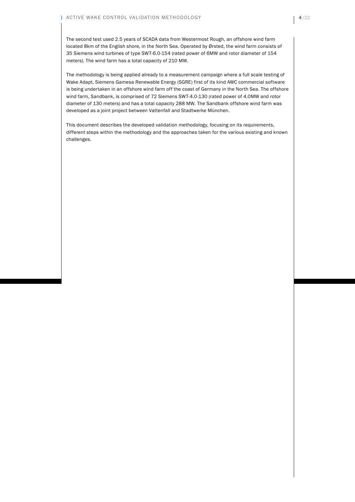The second test used 2.5 years of SCADA data from Westermost Rough, an offshore wind farm located 8km of the English shore, in the North Sea. Operated by Ørsted, the wind farm consists of 35 Siemens wind turbines of type SWT-6.0-154 (rated power of 6MW and rotor diameter of 154 meters). The wind farm has a total capacity of 210 MW.

The methodology is being applied already to a measurement campaign where a full scale testing of Wake Adapt, Siemens Gamesa Renewable Energy (SGRE) first of its kind AWC commercial software is being undertaken in an offshore wind farm off the coast of Germany in the North Sea. The offshore wind farm, Sandbank, is comprised of 72 Siemens SWT-4.0-130 (rated power of 4.0MW and rotor diameter of 130 meters) and has a total capacity 288 MW. The Sandbank offshore wind farm was developed as a joint project between Vattenfall and Stadtwerke München.

This document describes the developed validation methodology, focusing on its requirements, different steps within the methodology and the approaches taken for the various existing and known challenges.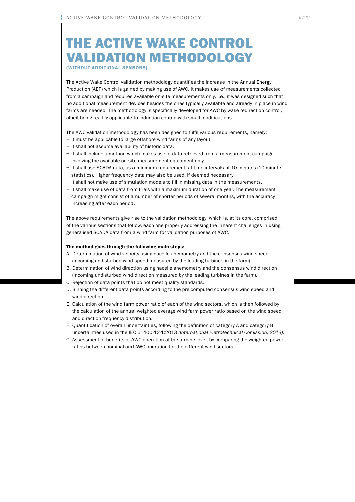### THE ACTIVE WAKE CONTROL VALIDATION METHODOLOGY (WITHOUT ADDITIONAL SENSORS)

The Active Wake Control validation methodology quantifies the increase in the Annual Energy Production (AEP) which is gained by making use of AWC. It makes use of measurements collected from a campaign and requires available on-site measurements only, i.e., it was designed such that no additional measurement devices besides the ones typically available and already in place in wind farms are needed. The methodology is specifically developed for AWC by wake redirection control, albeit being readily applicable to induction control with small modifications.

The AWC validation methodology has been designed to fulfil various requirements, namely:

- − It must be applicable to large offshore wind farms of any layout.
- − It shall not assume availability of historic data.
- − It shall include a method which makes use of data retrieved from a measurement campaign involving the available on-site measurement equipment only.
- − It shall use SCADA data, as a minimum requirement, at time intervals of 10 minutes (10 minute statistics). Higher frequency data may also be used, if deemed necessary.
- − It shall not make use of simulation models to fill in missing data in the measurements.
- − It shall make use of data from trials with a maximum duration of one year. The measurement campaign might consist of a number of shorter periods of several months, with the accuracy increasing after each period.

The above requirements give rise to the validation methodology, which is, at its core, comprised of the various sections that follow, each one properly addressing the inherent challenges in using generalised SCADA data from a wind farm for validation purposes of AWC.

#### The method goes through the following main steps:

- A. Determination of wind velocity using nacelle anemometry and the consensus wind speed (incoming undisturbed wind speed measured by the leading turbines in the farm).
- B. Determination of wind direction using nacelle anemometry and the consensus wind direction (incoming undisturbed wind direction measured by the leading turbines in the farm).
- C. Rejection of data points that do not meet quality standards.
- D. Binning the different data points according to the pre computed consensus wind speed and wind direction.
- E. Calculation of the wind farm power ratio of each of the wind sectors, which is then followed by the calculation of the annual weighted average wind farm power ratio based on the wind speed and direction frequency distribution.
- F. Quantification of overall uncertainties, following the definition of category A and category B uncertainties used in the IEC 61400-12-1:2013 (International Eletrotechnical Comission, 2013).
- G. Assessment of benefits of AWC operation at the turbine level, by comparing the weighted power ratios between nominal and AWC operation for the different wind sectors.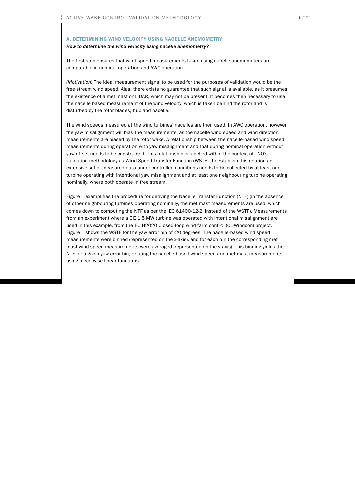### A. DETERMINING WIND VELOCITY USING NACELLE ANEMOMETRY

#### How to determine the wind velocity using nacelle anemometry?

The first step ensures that wind speed measurements taken using nacelle anemometers are comparable in nominal operation and AWC operation.

(Motivation) The ideal measurement signal to be used for the purposes of validation would be the free stream wind speed. Alas, there exists no guarantee that such signal is available, as it presumes the existence of a met mast or LiDAR, which may not be present. It becomes then necessary to use the nacelle based measurement of the wind velocity, which is taken behind the rotor and is disturbed by the rotor blades, hub and nacelle.

The wind speeds measured at the wind turbines' nacelles are then used. In AWC operation, however, the yaw misalignment will bias the measurements, as the nacelle wind speed and wind direction measurements are biased by the rotor wake. A relationship between the nacelle-based wind speed measurements during operation with yaw misalignment and that during nominal operation without yaw offset needs to be constructed. This relationship is labelled within the context of TNO's validation methodology as Wind Speed Transfer Function (WSTF). To establish this relation an extensive set of measured data under controlled conditions needs to be collected by at least one turbine operating with intentional yaw misalignment and at least one neighbouring turbine operating nominally, where both operate in free stream.

Figure 1 exemplifies the procedure for deriving the Nacelle Transfer Function (NTF) (in the absence of other neighbouring turbines operating nominally, the met mast measurements are used, which comes down to computing the NTF as per the IEC 61400-12-2, instead of the WSTF). Measurements from an experiment where a GE 1.5 MW turbine was operated with intentional misalignment are used in this example, from the EU H2020 Closed-loop wind farm control (CL-Windcon) project. Figure 1 shows the WSTF for the yaw error bin of -20 degrees. The nacelle-based wind speed measurements were binned (represented on the x-axis), and for each bin the corresponding met mast wind speed measurements were averaged (represented on the y-axis). This binning yields the NTF for a given yaw error bin, relating the nacelle-based wind speed and met mast measurements using piece-wise linear functions.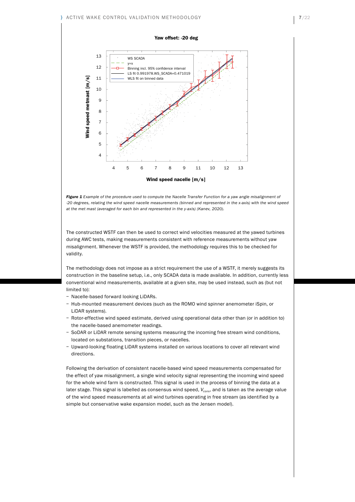#### Yaw offset: -20 deg



*Figure 1 Example of the procedure used to compute the Nacelle Transfer Function for a yaw angle misalignment of -20 degrees, relating the wind speed nacelle measurements (binned and represented in the x-axis) with the wind speed at the met mast (averaged for each bin and represented in the y-axis) (Kanev, 2020).*

The constructed WSTF can then be used to correct wind velocities measured at the yawed turbines during AWC tests, making measurements consistent with reference measurements without yaw misalignment. Whenever the WSTF is provided, the methodology requires this to be checked for validity.

The methodology does not impose as a strict requirement the use of a WSTF, it merely suggests its construction in the baseline setup, i.e., only SCADA data is made available. In addition, currently less conventional wind measurements, available at a given site, may be used instead, such as (but not limited to):

- − Nacelle-based forward looking LiDARs.
- − Hub-mounted measurement devices (such as the ROMO wind spinner anemometer iSpin, or LiDAR systems).
- − Rotor-effective wind speed estimate, derived using operational data other than (or in addition to) the nacelle-based anemometer readings.
- − SoDAR or LiDAR remote sensing systems measuring the incoming free stream wind conditions, located on substations, transition pieces, or nacelles.
- − Upward-looking floating LiDAR systems installed on various locations to cover all relevant wind directions.

Following the derivation of consistent nacelle-based wind speed measurements compensated for the effect of yaw misalignment, a single wind velocity signal representing the incoming wind speed for the whole wind farm is constructed. This signal is used in the process of binning the data at a later stage. This signal is labelled as consensus wind speed,  $V_{cons}$ , and is taken as the average value of the wind speed measurements at all wind turbines operating in free stream (as identified by a simple but conservative wake expansion model, such as the Jensen model).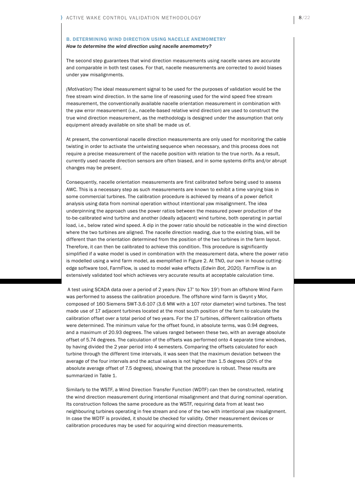#### B. DETERMINING WIND DIRECTION USING NACELLE ANEMOMETRY

#### How to determine the wind direction using nacelle anemometry?

The second step guarantees that wind direction measurements using nacelle vanes are accurate and comparable in both test cases. For that, nacelle measurements are corrected to avoid biases under yaw misalignments.

(Motivation) The ideal measurement signal to be used for the purposes of validation would be the free stream wind direction. In the same line of reasoning used for the wind speed free stream measurement, the conventionally available nacelle orientation measurement in combination with the yaw error measurement (i.e., nacelle-based relative wind direction) are used to construct the true wind direction measurement, as the methodology is designed under the assumption that only equipment already available on site shall be made us of.

At present, the conventional nacelle direction measurements are only used for monitoring the cable twisting in order to activate the untwisting sequence when necessary, and this process does not require a precise measurement of the nacelle position with relation to the true north. As a result, currently used nacelle direction sensors are often biased, and in some systems drifts and/or abrupt changes may be present.

Consequently, nacelle orientation measurements are first calibrated before being used to assess AWC. This is a necessary step as such measurements are known to exhibit a time varying bias in some commercial turbines. The calibration procedure is achieved by means of a power deficit analysis using data from nominal operation without intentional yaw misalignment. The idea underpinning the approach uses the power ratios between the measured power production of the to-be-calibrated wind turbine and another (ideally adjacent) wind turbine, both operating in partial load, i.e., below rated wind speed. A dip in the power ratio should be noticeable in the wind direction where the two turbines are aligned. The nacelle direction reading, due to the existing bias, will be different than the orientation determined from the position of the two turbines in the farm layout. Therefore, it can then be calibrated to achieve this condition. This procedure is significantly simplified if a wake model is used in combination with the measurement data, where the power ratio is modelled using a wind farm model, as exemplified in Figure 2. At TNO, our own in house cuttingedge software tool, FarmFlow, is used to model wake effects (Edwin Bot, 2020). FarmFlow is an extensively validated tool which achieves very accurate results at acceptable calculation time.

 A test using SCADA data over a period of 2 years (Nov 17' to Nov 19') from an offshore Wind Farm was performed to assess the calibration procedure. The offshore wind farm is Gwynt y Mor, composed of 160 Siemens SWT-3.6-107 (3.6 MW with a 107 rotor diameter) wind turbines. The test made use of 17 adjacent turbines located at the most south position of the farm to calculate the calibration offset over a total period of two years. For the 17 turbines, different calibration offsets were determined. The minimum value for the offset found, in absolute terms, was 0.94 degrees, and a maximum of 20.93 degrees. The values ranged between these two, with an average absolute offset of 5.74 degrees. The calculation of the offsets was performed onto 4 separate time windows, by having divided the 2 year period into 4 semesters. Comparing the offsets calculated for each turbine through the different time intervals, it was seen that the maximum deviation between the average of the four intervals and the actual values is not higher than 1.5 degrees (20% of the absolute average offset of 7.5 degrees), showing that the procedure is robust. These results are summarized in Table 1.

Similarly to the WSTF, a Wind Direction Transfer Function (WDTF) can then be constructed, relating the wind direction measurement during intentional misalignment and that during nominal operation. Its construction follows the same procedure as the WSTF, requiring data from at least two neighbouring turbines operating in free stream and one of the two with intentional yaw misalignment. In case the WDTF is provided, it should be checked for validity. Other measurement devices or calibration procedures may be used for acquiring wind direction measurements.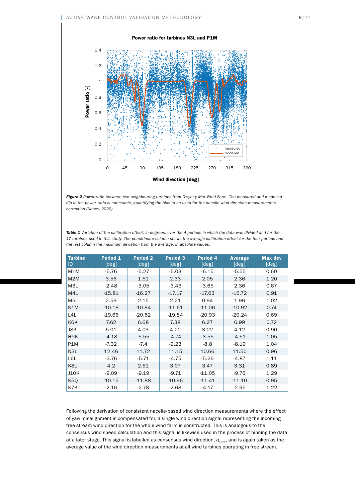

*Figure 2 Power ratio between two neighbouring turbines from Gwynt y Mor Wind Farm. The measured and modelled dip in the power ratio is noticeable, quantifying the bias to be used for the nacelle wind direction measurements correction (Kanev, 2020).*

*Table 1 Variation of the calibration offset, in degrees, over the 4 periods in which the data was divided and for the 17 turbines used in this study. The penultimate column shows the average calibration offset for the four periods and the last column the maximum deviation from the average, in absolute values.*

| <b>Turbine</b>   | Period <sub>1</sub>        | <b>Period 2</b>      | <b>Period 3</b> | <b>Period 4</b> | <b>Average</b>             | <b>Max dev</b> |
|------------------|----------------------------|----------------------|-----------------|-----------------|----------------------------|----------------|
| ID               | $\lceil \text{deg} \rceil$ | $\lceil \deg \rceil$ | [deg]           | [deg]           | $\lceil \text{deg} \rceil$ | [deg]          |
| M <sub>1</sub> M | $-5.76$                    | $-5.27$              | $-5.03$         | $-6.15$         | $-5.55$                    | 0.60           |
| M <sub>2</sub> M | 3.56                       | 1.51                 | 2.33            | 2.05            | 2.36                       | 1.20           |
| M3L              | $-2.48$                    | $-3.05$              | $-3.43$         | $-3.65$         | 2.36                       | 0.67           |
| M4L              | $-15.81$                   | $-16.27$             | $-17.17$        | $-17.63$        | $-16.72$                   | 0.91           |
| M <sub>5</sub> L | 2.53                       | 2.15                 | 2.21            | 0.94            | 1.96                       | 1.02           |
| N1M              | $-10.18$                   | $-10.84$             | $-11.61$        | $-11.06$        | $-10.92$                   | 0.74           |
| L <sub>4</sub> L | $-19.66$                   | $-20.52$             | $-19.84$        | $-20.93$        | $-20.24$                   | 0.69           |
| K6K              | 7.62                       | 6.68                 | 7.38            | 6.27            | 6.99                       | 0.72           |
| J8K              | 5.01                       | 4.03                 | 4.22            | 3.22            | 4.12                       | 0.90           |
| H <sub>9</sub> K | $-4.18$                    | $-5.55$              | $-4.74$         | $-3.55$         | $-4.51$                    | 1.05           |
| P1M              | $-7.32$                    | $-7.4$               | $-9.23$         | $-8.8$          | $-8.19$                    | 1.04           |
| N3L              | 12.46                      | 11.72                | 11.15           | 10.66           | 11.50                      | 0.96           |
| L6L              | $-3.76$                    | $-5.71$              | $-4.75$         | $-5.26$         | $-4.87$                    | 1.11           |
| K8L              | 4.2                        | 2.51                 | 3.07            | 3.47            | 3.31                       | 0.89           |
| <b>J10K</b>      | $-9.09$                    | $-9.19$              | $-9.71$         | $-11.05$        | $-9.76$                    | 1.29           |
| K <sub>5</sub> Q | $-10.15$                   | $-11.88$             | $-10.96$        | $-11.41$        | $-11.10$                   | 0.95           |
| K7K              | $-2.16$                    | $-2.78$              | $-2.68$         | $-4.17$         | $-2.95$                    | 1.22           |

Following the derivation of consistent nacelle-based wind direction measurements where the effect of yaw misalignment is compensated for, a single wind direction signal representing the incoming free stream wind direction for the whole wind farm is constructed. This is analogous to the consensus wind speed calculation and this signal is likewise used in the process of binning the data at a later stage. This signal is labelled as consensus wind direction,  $\alpha_{cons}$ , and is again taken as the average value of the wind direction measurements at all wind turbines operating in free stream.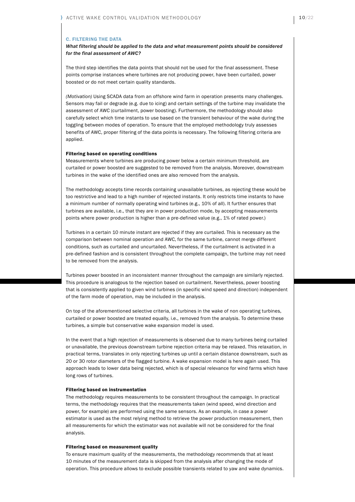#### C. FILTERING THE DATA

What filtering should be applied to the data and what measurement points should be considered for the final assessment of AWC?

The third step identifies the data points that should not be used for the final assessment. These points comprise instances where turbines are not producing power, have been curtailed, power boosted or do not meet certain quality standards.

(Motivation) Using SCADA data from an offshore wind farm in operation presents many challenges. Sensors may fail or degrade (e.g. due to icing) and certain settings of the turbine may invalidate the assessment of AWC (curtailment, power boosting). Furthermore, the methodology should also carefully select which time instants to use based on the transient behaviour of the wake during the toggling between modes of operation. To ensure that the employed methodology truly assesses benefits of AWC, proper filtering of the data points is necessary. The following filtering criteria are applied.

#### Filtering based on operating conditions

Measurements where turbines are producing power below a certain minimum threshold, are curtailed or power boosted are suggested to be removed from the analysis. Moreover, downstream turbines in the wake of the identified ones are also removed from the analysis.

The methodology accepts time records containing unavailable turbines, as rejecting these would be too restrictive and lead to a high number of rejected instants. It only restricts time instants to have a minimum number of normally operating wind turbines (e.g., 10% of all). It further ensures that turbines are available, i.e., that they are in power production mode, by accepting measurements points where power production is higher than a pre-defined value (e.g., 1% of rated power.)

Turbines in a certain 10 minute instant are rejected if they are curtailed. This is necessary as the comparison between nominal operation and AWC, for the same turbine, cannot merge different conditions, such as curtailed and uncurtailed. Nevertheless, if the curtailment is activated in a pre-defined fashion and is consistent throughout the complete campaign, the turbine may not need to be removed from the analysis.

Turbines power boosted in an inconsistent manner throughout the campaign are similarly rejected. This procedure is analogous to the rejection based on curtailment. Nevertheless, power boosting that is consistently applied to given wind turbines (in specific wind speed and direction) independent of the farm mode of operation, may be included in the analysis.

On top of the aforementioned selective criteria, all turbines in the wake of non operating turbines, curtailed or power boosted are treated equally, i.e., removed from the analysis. To determine these turbines, a simple but conservative wake expansion model is used.

In the event that a high rejection of measurements is observed due to many turbines being curtailed or unavailable, the previous downstream turbine rejection criteria may be relaxed. This relaxation, in practical terms, translates in only rejecting turbines up until a certain distance downstream, such as 20 or 30 rotor diameters of the flagged turbine. A wake expansion model is here again used. This approach leads to lower data being rejected, which is of special relevance for wind farms which have long rows of turbines.

#### Filtering based on instrumentation

The methodology requires measurements to be consistent throughout the campaign. In practical terms, the methodology requires that the measurements taken (wind speed, wind direction and power, for example) are performed using the same sensors. As an example, in case a power estimator is used as the most relying method to retrieve the power production measurement, then all measurements for which the estimator was not available will not be considered for the final analysis.

#### Filtering based on measurement quality

To ensure maximum quality of the measurements, the methodology recommends that at least 10 minutes of the measurement data is skipped from the analysis after changing the mode of operation. This procedure allows to exclude possible transients related to yaw and wake dynamics.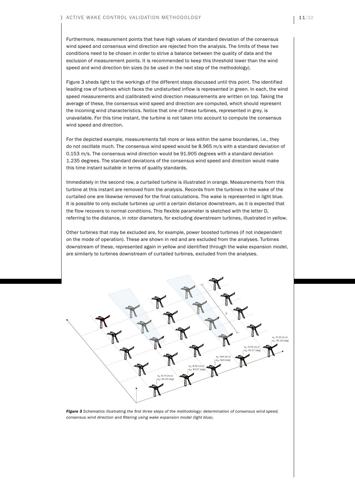Furthermore, measurement points that have high values of standard deviation of the consensus wind speed and consensus wind direction are rejected from the analysis. The limits of these two conditions need to be chosen in order to strive a balance between the quality of data and the exclusion of measurement points. It is recommended to keep this threshold lower than the wind speed and wind direction bin sizes (to be used in the next step of the methodology).

Figure 3 sheds light to the workings of the different steps discussed until this point. The identified leading row of turbines which faces the undisturbed inflow is represented in green. In each, the wind speed measurements and (calibrated) wind direction measurements are written on top. Taking the average of these, the consensus wind speed and direction are computed, which should represent the incoming wind characteristics. Notice that one of these turbines, represented in grey, is unavailable. For this time instant, the turbine is not taken into account to compute the consensus wind speed and direction.

For the depicted example, measurements fall more or less within the same boundaries, i.e., they do not oscillate much. The consensus wind speed would be 8.965 m/s with a standard deviation of 0.153 m/s. The consensus wind direction would be 91.905 degrees with a standard deviation 1.235 degrees. The standard deviations of the consensus wind speed and direction would make this time instant suitable in terms of quality standards.

Immediately in the second row, a curtailed turbine is illustrated in orange. Measurements from this turbine at this instant are removed from the analysis. Records from the turbines in the wake of the curtailed one are likewise removed for the final calculations. The wake is represented in light blue. It is possible to only exclude turbines up until a certain distance downstream, as it is expected that the flow recovers to normal conditions. This flexible parameter is sketched with the letter D, referring to the distance, in rotor diameters, for excluding downstream turbines, illustrated in yellow.

Other turbines that may be excluded are, for example, power boosted turbines (if not independent on the mode of operation). These are shown in red and are excluded from the analyses. Turbines downstream of these, represented again in yellow and identified through the wake expansion model, are similarly to turbines downstream of curtailed turbines, excluded from the analyses.



*Figure 3 Schematics illustrating the first three steps of the methodology: determination of consensus wind speed, consensus wind direction and filtering using wake expansion model (light blue).*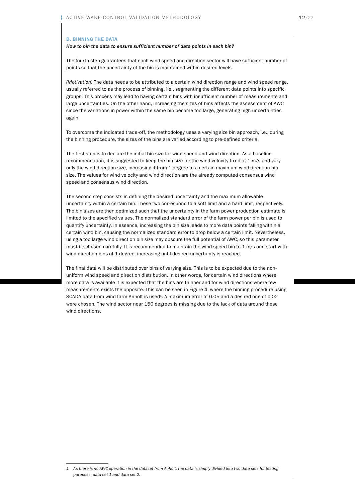#### D. BINNING THE DATA

#### How to bin the data to ensure sufficient number of data points in each bin?

The fourth step guarantees that each wind speed and direction sector will have sufficient number of points so that the uncertainty of the bin is maintained within desired levels.

(Motivation) The data needs to be attributed to a certain wind direction range and wind speed range, usually referred to as the process of binning, i.e., segmenting the different data points into specific groups. This process may lead to having certain bins with insufficient number of measurements and large uncertainties. On the other hand, increasing the sizes of bins affects the assessment of AWC since the variations in power within the same bin become too large, generating high uncertainties again.

To overcome the indicated trade-off, the methodology uses a varying size bin approach, i.e., during the binning procedure, the sizes of the bins are varied according to pre-defined criteria.

The first step is to declare the initial bin size for wind speed and wind direction. As a baseline recommendation, it is suggested to keep the bin size for the wind velocity fixed at 1 m/s and vary only the wind direction size, increasing it from 1 degree to a certain maximum wind direction bin size. The values for wind velocity and wind direction are the already computed consensus wind speed and consensus wind direction.

The second step consists in defining the desired uncertainty and the maximum allowable uncertainty within a certain bin. These two correspond to a soft limit and a hard limit, respectively. The bin sizes are then optimized such that the uncertainty in the farm power production estimate is limited to the specified values. The normalized standard error of the farm power per bin is used to quantify uncertainty. In essence, increasing the bin size leads to more data points falling within a certain wind bin, causing the normalized standard error to drop below a certain limit. Nevertheless, using a too large wind direction bin size may obscure the full potential of AWC, so this parameter must be chosen carefully. It is recommended to maintain the wind speed bin to 1 m/s and start with wind direction bins of 1 degree, increasing until desired uncertainty is reached.

The final data will be distributed over bins of varying size. This is to be expected due to the nonuniform wind speed and direction distribution. In other words, for certain wind directions where more data is available it is expected that the bins are thinner and for wind directions where few measurements exists the opposite. This can be seen in Figure 4, where the binning procedure using SCADA data from wind farm Anholt is used<sup>1</sup>. A maximum error of 0.05 and a desired one of 0.02 were chosen. The wind sector near 150 degrees is missing due to the lack of data around these wind directions.

<sup>1</sup> As there is no AWC operation in the dataset from Anholt, the data is simply divided into two data sets for testing purposes, data set 1 and data set 2.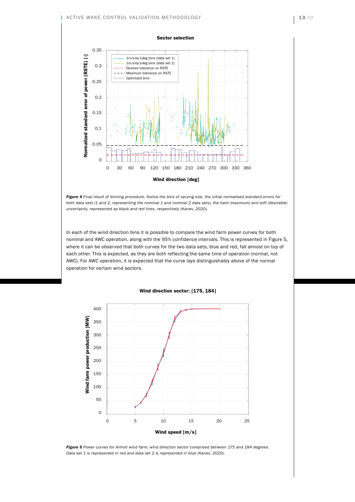#### ACTIVE WAKE CONTROL VALIDATION METHODOLOGY



*Figure 4 Final result of binning procedure. Notice the bins of varying size, the initial normalised standard errors for*  both data sets (1 and 2, representing the nominal 1 and nominal 2 data sets), the hard (maximum) and soft (desirable) *uncertainty, represented as black and red lines, respectively (Kanev, 2020).*

In each of the wind direction bins it is possible to compare the wind farm power curves for both nominal and AWC operation, along with the 95% confidence intervals. This is represented in Figure 5, where it can be observed that both curves for the two data sets, blue and red, fall almost on top of each other. This is expected, as they are both reflecting the same time of operation (normal, not AWC). For AWC operation, it is expected that the curve lays distinguishably above of the normal operation for certain wind sectors.



#### Wind direction sector: [175, 184]

*Figure 5 Power curves for Anholt wind farm, wind direction sector comprised between 175 and 184 degrees. Data set 1 is represented in red and data set 2 is represented in blue (Kanev, 2020).*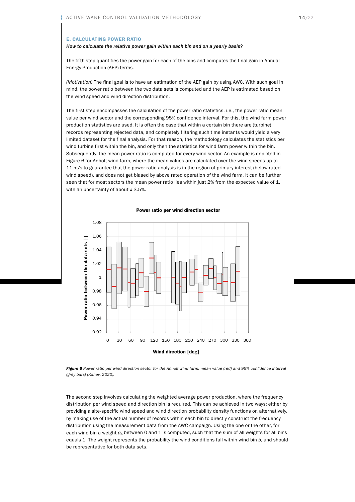#### E. CALCULATING POWER RATIO

#### How to calculate the relative power gain within each bin and on a yearly basis?

The fifth step quantifies the power gain for each of the bins and computes the final gain in Annual Energy Production (AEP) terms.

(Motivation) The final goal is to have an estimation of the AEP gain by using AWC. With such goal in mind, the power ratio between the two data sets is computed and the AEP is estimated based on the wind speed and wind direction distribution.

The first step encompasses the calculation of the power ratio statistics, i.e., the power ratio mean value per wind sector and the corresponding 95% confidence interval. For this, the wind farm power production statistics are used. It is often the case that within a certain bin there are (turbine) records representing rejected data, and completely filtering such time instants would yield a very limited dataset for the final analysis. For that reason, the methodology calculates the statistics per wind turbine first within the bin, and only then the statistics for wind farm power within the bin. Subsequently, the mean power ratio is computed for every wind sector. An example is depicted in Figure 6 for Anholt wind farm, where the mean values are calculated over the wind speeds up to 11 m/s to guarantee that the power ratio analysis is in the region of primary interest (below rated wind speed), and does not get biased by above rated operation of the wind farm. It can be further seen that for most sectors the mean power ratio lies within just 2% from the expected value of 1, with an uncertainty of about  $\pm$  3.5%.

### 1.08 1.06 $\overline{L}$ Power ratio between the data sets [-] Power ratio between the data sets 1.04 1.02 1 0.98 0.96 0.94 0.92 0 30 60 90 120 150 180 210 240 270 300 330 360 Wind direction [deg]

#### Power ratio per wind direction sector

*Figure 6 Power ratio per wind direction sector for the Anholt wind farm: mean value (red) and 95% confidence interval (grey bars) (Kanev, 2020).*

The second step involves calculating the weighted average power production, where the frequency distribution per wind speed and direction bin is required. This can be achieved in two ways: either by providing a site-specific wind speed and wind direction probability density functions or, alternatively, by making use of the actual number of records within each bin to directly construct the frequency distribution using the measurement data from the AWC campaign. Using the one or the other, for each wind bin a weight  $a<sub>b</sub>$  between 0 and 1 is computed, such that the sum of all weights for all bins equals 1. The weight represents the probability the wind conditions fall within wind bin b, and should be representative for both data sets.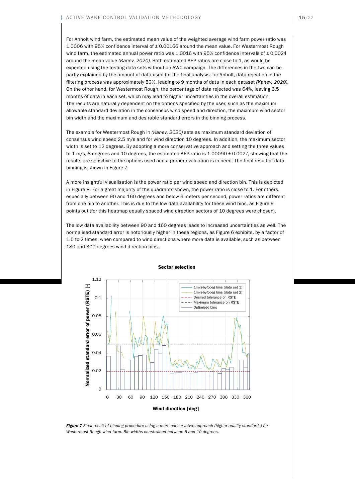For Anholt wind farm, the estimated mean value of the weighted average wind farm power ratio was 1.0006 with 95% confidence interval of ± 0.00166 around the mean value. For Westermost Rough wind farm, the estimated annual power ratio was  $1.0016$  with 95% confidence intervals of  $\pm 0.0024$ around the mean value (Kanev, 2020). Both estimated AEP ratios are close to 1, as would be expected using the testing data sets without an AWC campaign. The differences in the two can be partly explained by the amount of data used for the final analysis: for Anholt, data rejection in the filtering process was approximately 50%, leading to 9 months of data in each dataset (Kanev, 2020). On the other hand, for Westermost Rough, the percentage of data rejected was 64%, leaving 6.5 months of data in each set, which may lead to higher uncertainties in the overall estimation. The results are naturally dependent on the options specified by the user, such as the maximum allowable standard deviation in the consensus wind speed and direction, the maximum wind sector bin width and the maximum and desirable standard errors in the binning process.

The example for Westermost Rough in (Kanev, 2020) sets as maximum standard deviation of consensus wind speed 2.5 m/s and for wind direction 10 degrees. In addition, the maximum sector width is set to 12 degrees. By adopting a more conservative approach and setting the three values to 1 m/s, 8 degrees and 10 degrees, the estimated AEP ratio is 1.00090 ± 0.0027, showing that the results are sensitive to the options used and a proper evaluation is in need. The final result of data binning is shown in Figure 7.

A more insightful visualisation is the power ratio per wind speed and direction bin. This is depicted in Figure 8. For a great majority of the quadrants shown, the power ratio is close to 1. For others, especially between 90 and 160 degrees and below 6 meters per second, power ratios are different from one bin to another. This is due to the low data availability for these wind bins, as Figure 9 points out (for this heatmap equally spaced wind direction sectors of 10 degrees were chosen).

The low data availability between 90 and 160 degrees leads to increased uncertainties as well. The normalised standard error is notoriously higher in these regions, as Figure 6 exhibits, by a factor of 1.5 to 2 times, when compared to wind directions where more data is available, such as between 180 and 300 degrees wind direction bins.



Sector selection

*Figure 7 Final result of binning procedure using a more conservative approach (higher quality standards) for Westermost Rough wind farm. Bin widths constrained between 5 and 10 degrees.*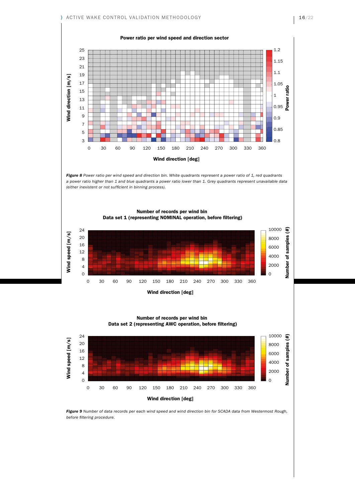

Data set 2 (representing AWC operation, before filtering) Number of records per wind bin



**Figure 9** Number of data records per each wind speed and wind direction bin for SCADA data from Westermost Rough, *before filtering procedure.*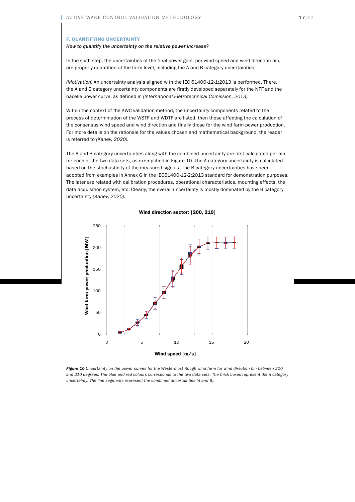#### F. QUANTIFYING UNCERTAINTY

#### How to quantify the uncertainty on the relative power increase?

In the sixth step, the uncertainties of the final power gain, per wind speed and wind direction bin, are properly quantified at the farm level, including the A and B category uncertainties.

(Motivation) An uncertainty analysis aligned with the IEC 61400-12-1:2013 is performed. There, the A and B category uncertainty components are firstly developed separately for the NTF and the nacelle power curve, as defined in (International Eletrotechnical Comission, 2013).

Within the context of the AWC validation method, the uncertainty components related to the process of determination of the WSTF and WDTF are listed, then those affecting the calculation of the consensus wind speed and wind direction and finally those for the wind farm power production. For more details on the rationale for the values chosen and mathematical background, the reader is referred to (Kanev, 2020).

The A and B category uncertainties along with the combined uncertainty are first calculated per bin for each of the two data sets, as exemplified in Figure 10. The A category uncertainty is calculated based on the stochasticity of the measured signals. The B category uncertainties have been adopted from examples in Annex G in the IEC61400-12-2:2013 standard for demonstration purposes. The later are related with calibration procedures, operational characteristics, mounting effects, the data acquisition system, etc. Clearly, the overall uncertainty is mostly dominated by the B category uncertainty (Kanev, 2020).



#### Wind direction sector: [200, 210]

*Figure 10 Uncertainty on the power curves for the Westermost Rough wind farm for wind direction bin between 200 and 210 degrees. The blue and red colours corresponds to the two data sets. The thick boxes represent the A category uncertainty. The line segments represent the combined uncertainties (A and B).*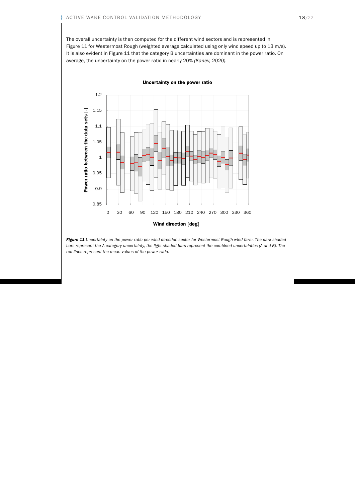The overall uncertainty is then computed for the different wind sectors and is represented in Figure 11 for Westermost Rough (weighted average calculated using only wind speed up to 13 m/s). It is also evident in Figure 11 that the category B uncertainties are dominant in the power ratio. On average, the uncertainty on the power ratio in nearly 20% (Kanev, 2020).



*Figure 11 Uncertainty on the power ratio per wind direction sector for Westermost Rough wind farm. The dark shaded bars represent the A category uncertainty, the light shaded bars represent the combined uncertainties (A and B). The red lines represent the mean values of the power ratio.*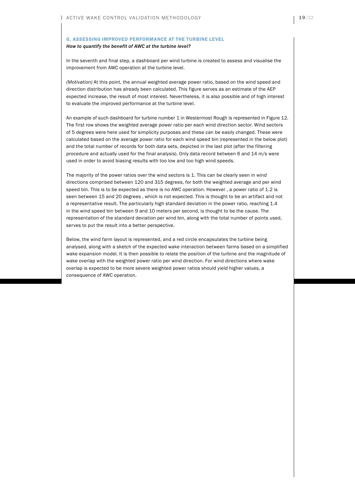#### G. ASSESSING IMPROVED PERFORMANCE AT THE TURBINE LEVEL

#### How to quantify the benefit of AWC at the turbine level?

In the seventh and final step, a dashboard per wind turbine is created to assess and visualise the improvement from AWC operation at the turbine level.

(Motivation) At this point, the annual weighted average power ratio, based on the wind speed and direction distribution has already been calculated. This figure serves as an estimate of the AEP expected increase, the result of most interest. Nevertheless, it is also possible and of high interest to evaluate the improved performance at the turbine level.

An example of such dashboard for turbine number 1 in Westermost Rough is represented in Figure 12. The first row shows the weighted average power ratio per each wind direction sector. Wind sectors of 5 degrees were here used for simplicity purposes and these can be easily changed. These were calculated based on the average power ratio for each wind speed bin (represented in the below plot) and the total number of records for both data sets, depicted in the last plot (after the filtering procedure and actually used for the final analysis). Only data record between 6 and 14 m/s were used in order to avoid biasing results with too low and too high wind speeds.

The majority of the power ratios over the wind sectors is 1. This can be clearly seen in wind directions comprised between 120 and 315 degrees, for both the weighted average and per wind speed bin. This is to be expected as there is no AWC operation. However , a power ratio of 1.2 is seen between 15 and 20 degrees , which is not expected. This is thought to be an artifact and not a representative result. The particularly high standard deviation in the power ratio, reaching 1.4 in the wind speed bin between 9 and 10 meters per second, is thought to be the cause. The representation of the standard deviation per wind bin, along with the total number of points used, serves to put the result into a better perspective.

Below, the wind farm layout is represented, and a red circle encapsulates the turbine being analysed, along with a sketch of the expected wake interaction between farms based on a simplified wake expansion model. It is then possible to relate the position of the turbine and the magnitude of wake overlap with the weighted power ratio per wind direction. For wind directions where wake overlap is expected to be more severe weighted power ratios should yield higher values, a consequence of AWC operation.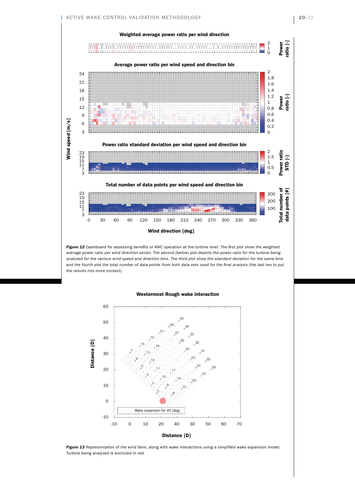

*Figure 12 Dashboard for assessing benefits of AWC operation at the turbine level. The first plot show the weighted average power ratio per wind direction sector. The second (below) plot depicts the power ratio for the turbine being analysed for the various wind speed and direction bins. The third plot show the standard deviation for the same bins and the fourth plot the total number of data points from both data sets used for the final analysis (the last two to put the results into more context).*

#### Westermost Rough wake interaction



*Figure 13 Representation of the wind farm, along with wake interactions using a simplified wake expansion model. Turbine being analyzed is encircled in red.*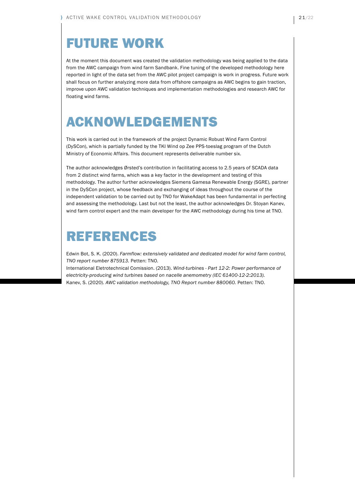## FUTURE WORK

At the moment this document was created the validation methodology was being applied to the data from the AWC campaign from wind farm Sandbank. Fine tuning of the developed methodology here reported in light of the data set from the AWC pilot project campaign is work in progress. Future work shall focus on further analyzing more data from offshore campaigns as AWC begins to gain traction, improve upon AWC validation techniques and implementation methodologies and research AWC for floating wind farms.

# ACKNOWLEDGEMENTS

This work is carried out in the framework of the project Dynamic Robust Wind Farm Control (DySCon), which is partially funded by the TKI Wind op Zee PPS-toeslag program of the Dutch Ministry of Economic Affairs. This document represents deliverable number six.

The author acknowledges Ørsted's contribution in facilitating access to 2.5 years of SCADA data from 2 distinct wind farms, which was a key factor in the development and testing of this methodology. The author further acknowledges Siemens Gamesa Renewable Energy (SGRE), partner in the DySCon project, whose feedback and exchanging of ideas throughout the course of the independent validation to be carried out by TNO for WakeAdapt has been fundamental in perfecting and assessing the methodology. Last but not the least, the author acknowledges Dr. Stoyan Kanev, wind farm control expert and the main developer for the AWC methodology during his time at TNO.

### REFERENCES

Edwin Bot, S. K. (2020). Farmflow: extensively validated and dedicated model for wind farm control, TNO report number 875913. Petten: TNO.

International Eletrotechnical Comission. (2013). Wind-turbines - Part 12-2: Power performance of electricity-producing wind turbines based on nacelle anemometry (IEC 61400-12-2:2013). Kanev, S. (2020). AWC validation methodology, TNO Report number 880060. Petten: TNO.